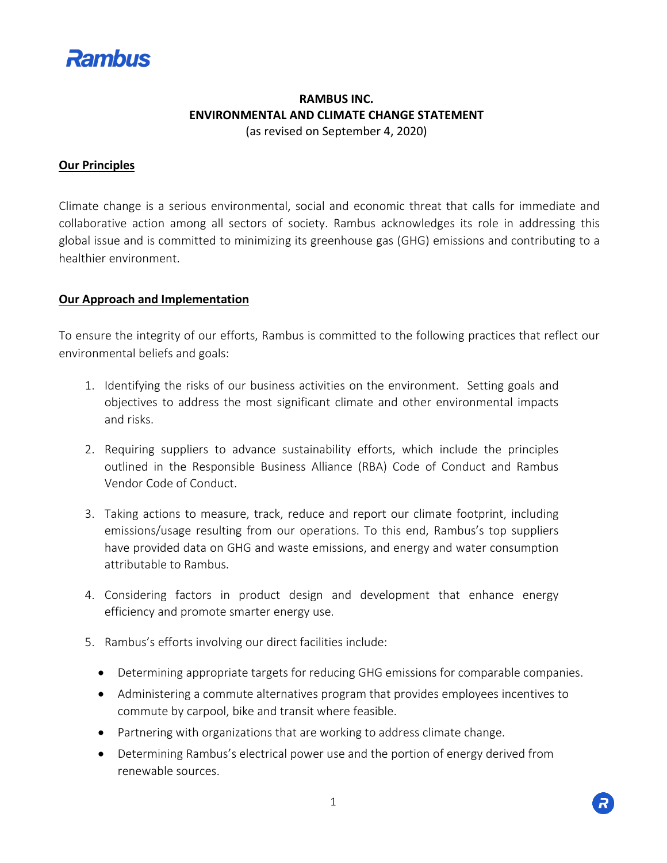

## **RAMBUS INC. ENVIRONMENTAL AND CLIMATE CHANGE STATEMENT** (as revised on September 4, 2020)

## **Our Principles**

Climate change is a serious environmental, social and economic threat that calls for immediate and collaborative action among all sectors of society. Rambus acknowledges its role in addressing this global issue and is committed to minimizing its greenhouse gas (GHG) emissions and contributing to a healthier environment.

## **Our Approach and Implementation**

To ensure the integrity of our efforts, Rambus is committed to the following practices that reflect our environmental beliefs and goals:

- 1. Identifying the risks of our business activities on the environment. Setting goals and objectives to address the most significant climate and other environmental impacts and risks.
- 2. Requiring suppliers to advance sustainability efforts, which include the principles outlined in the Responsible Business Alliance (RBA) Code of Conduct and Rambus Vendor Code of Conduct.
- 3. Taking actions to measure, track, reduce and report our climate footprint, including emissions/usage resulting from our operations. To this end, Rambus's top suppliers have provided data on GHG and waste emissions, and energy and water consumption attributable to Rambus.
- 4. Considering factors in product design and development that enhance energy efficiency and promote smarter energy use.
- 5. Rambus's efforts involving our direct facilities include:
	- Determining appropriate targets for reducing GHG emissions for comparable companies.
	- Administering a commute alternatives program that provides employees incentives to commute by carpool, bike and transit where feasible.
	- Partnering with organizations that are working to address climate change.
	- Determining Rambus's electrical power use and the portion of energy derived from renewable sources.